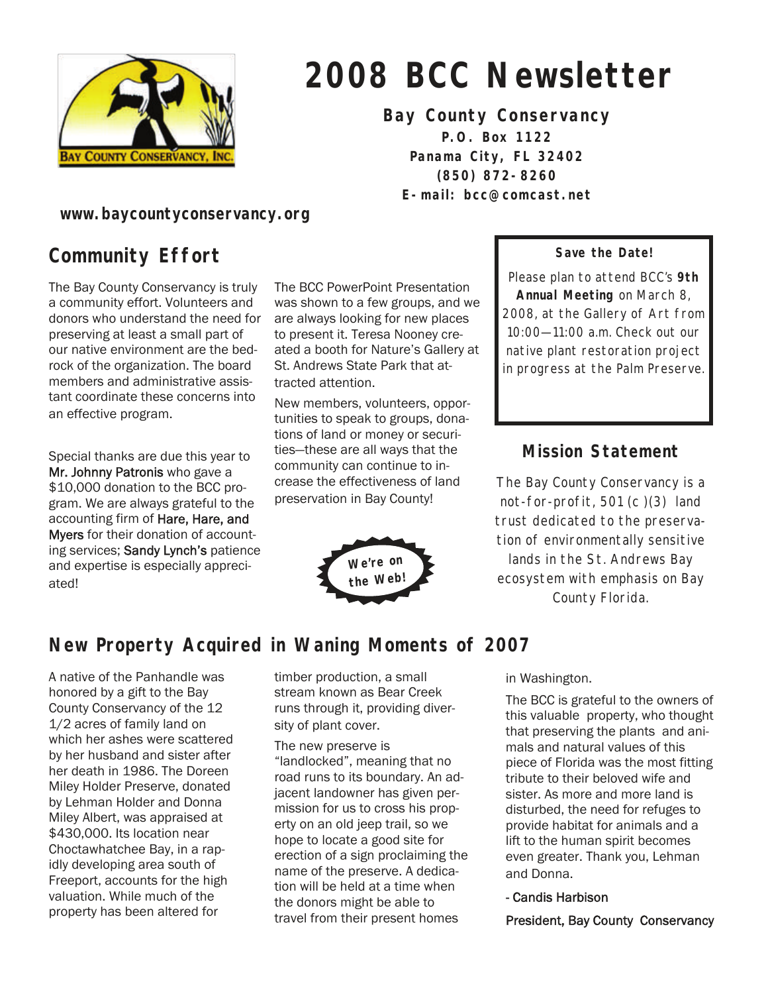

# **2008 BCC Newsletter**

**Bay County Conservancy** 

**P.O. Box 1122 Panama City, FL 32402 (850) 872-8260 E-mail: bcc@comcast.net** 

**www.baycountyconservancy.org** 

# **Community Effort**

The Bay County Conservancy is truly a community effort. Volunteers and donors who understand the need for preserving at least a small part of our native environment are the bedrock of the organization. The board members and administrative assistant coordinate these concerns into an effective program.

Special thanks are due this year to Mr. Johnny Patronis who gave a \$10,000 donation to the BCC program. We are always grateful to the accounting firm of Hare, Hare, and Myers for their donation of accounting services; Sandy Lynch's patience and expertise is especially appreciated!

The BCC PowerPoint Presentation was shown to a few groups, and we are always looking for new places to present it. Teresa Nooney created a booth for Nature's Gallery at St. Andrews State Park that attracted attention.

New members, volunteers, opportunities to speak to groups, donations of land or money or securities—these are all ways that the community can continue to increase the effectiveness of land preservation in Bay County!



#### **Save the Date!**

Please plan to attend BCC's **9th Annual Meeting** on March 8, 2008, at the Gallery of Art from 10:00—11:00 a.m. Check out our native plant restoration project in progress at the Palm Preserve.

#### **Mission Statement**

The Bay County Conservancy is a not-for-profit, 501 (c )(3) land trust dedicated to the preservation of environmentally sensitive lands in the St. Andrews Bay ecosystem with emphasis on Bay County Florida.

# **New Property Acquired in Waning Moments of 2007**

A native of the Panhandle was honored by a gift to the Bay County Conservancy of the 12 1/2 acres of family land on which her ashes were scattered by her husband and sister after her death in 1986. The Doreen Miley Holder Preserve, donated by Lehman Holder and Donna Miley Albert, was appraised at \$430,000. Its location near Choctawhatchee Bay, in a rapidly developing area south of Freeport, accounts for the high valuation. While much of the property has been altered for

timber production, a small stream known as Bear Creek runs through it, providing diversity of plant cover.

The new preserve is "landlocked", meaning that no road runs to its boundary. An adjacent landowner has given permission for us to cross his property on an old jeep trail, so we hope to locate a good site for erection of a sign proclaiming the name of the preserve. A dedication will be held at a time when the donors might be able to travel from their present homes

in Washington.

The BCC is grateful to the owners of this valuable property, who thought that preserving the plants and animals and natural values of this piece of Florida was the most fitting tribute to their beloved wife and sister. As more and more land is disturbed, the need for refuges to provide habitat for animals and a lift to the human spirit becomes even greater. Thank you, Lehman and Donna.

- Candis Harbison

President, Bay County Conservancy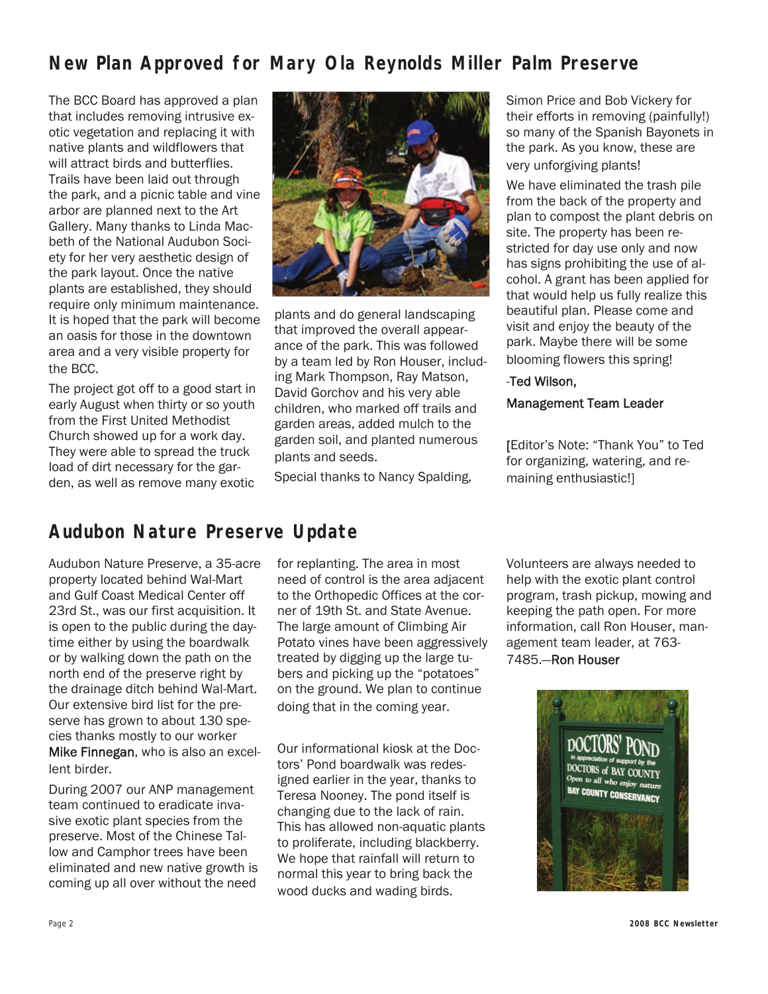## **New Plan Approved for Mary Ola Reynolds Miller Palm Preserve**

The BCC Board has approved a plan that includes removing intrusive exotic vegetation and replacing it with native plants and wildflowers that will attract birds and butterflies. Trails have been laid out through the park, and a picnic table and vine arbor are planned next to the Art Gallery. Many thanks to Linda Macbeth of the National Audubon Society for her very aesthetic design of the park layout. Once the native plants are established, they should require only minimum maintenance. It is hoped that the park will become an oasis for those in the downtown area and a very visible property for the BCC.

The project got off to a good start in early August when thirty or so youth from the First United Methodist Church showed up for a work day. They were able to spread the truck load of dirt necessary for the garden, as well as remove many exotic



plants and do general landscaping that improved the overall appearance of the park. This was followed by a team led by Ron Houser, including Mark Thompson, Ray Matson, David Gorchov and his very able children, who marked off trails and garden areas, added mulch to the garden soil, and planted numerous plants and seeds.

Special thanks to Nancy Spalding,

Simon Price and Bob Vickery for their efforts in removing (painfully!) so many of the Spanish Bayonets in the park. As you know, these are very unforgiving plants!

We have eliminated the trash pile from the back of the property and plan to compost the plant debris on site. The property has been restricted for day use only and now has signs prohibiting the use of alcohol. A grant has been applied for that would help us fully realize this beautiful plan. Please come and visit and enjoy the beauty of the park. Maybe there will be some blooming flowers this spring!

#### -Ted Wilson,

#### Management Team Leader

[Editor's Note: "Thank You" to Ted for organizing, watering, and remaining enthusiastic!]

#### **Audubon Nature Preserve Update**

Audubon Nature Preserve, a 35-acre property located behind Wal-Mart and Gulf Coast Medical Center off 23rd St., was our first acquisition. It is open to the public during the daytime either by using the boardwalk or by walking down the path on the north end of the preserve right by the drainage ditch behind Wal-Mart. Our extensive bird list for the preserve has grown to about 130 species thanks mostly to our worker Mike Finnegan, who is also an excellent birder.

During 2007 our ANP management team continued to eradicate invasive exotic plant species from the preserve. Most of the Chinese Tallow and Camphor trees have been eliminated and new native growth is coming up all over without the need

for replanting. The area in most need of control is the area adjacent to the Orthopedic Offices at the corner of 19th St. and State Avenue. The large amount of Climbing Air Potato vines have been aggressively treated by digging up the large tubers and picking up the "potatoes" on the ground. We plan to continue doing that in the coming year.

Our informational kiosk at the Doctors' Pond boardwalk was redesigned earlier in the year, thanks to Teresa Nooney. The pond itself is changing due to the lack of rain. This has allowed non-aquatic plants to proliferate, including blackberry. We hope that rainfall will return to normal this year to bring back the wood ducks and wading birds.

Volunteers are always needed to help with the exotic plant control program, trash pickup, mowing and keeping the path open. For more information, call Ron Houser, management team leader, at 763- 7485.—Ron Houser

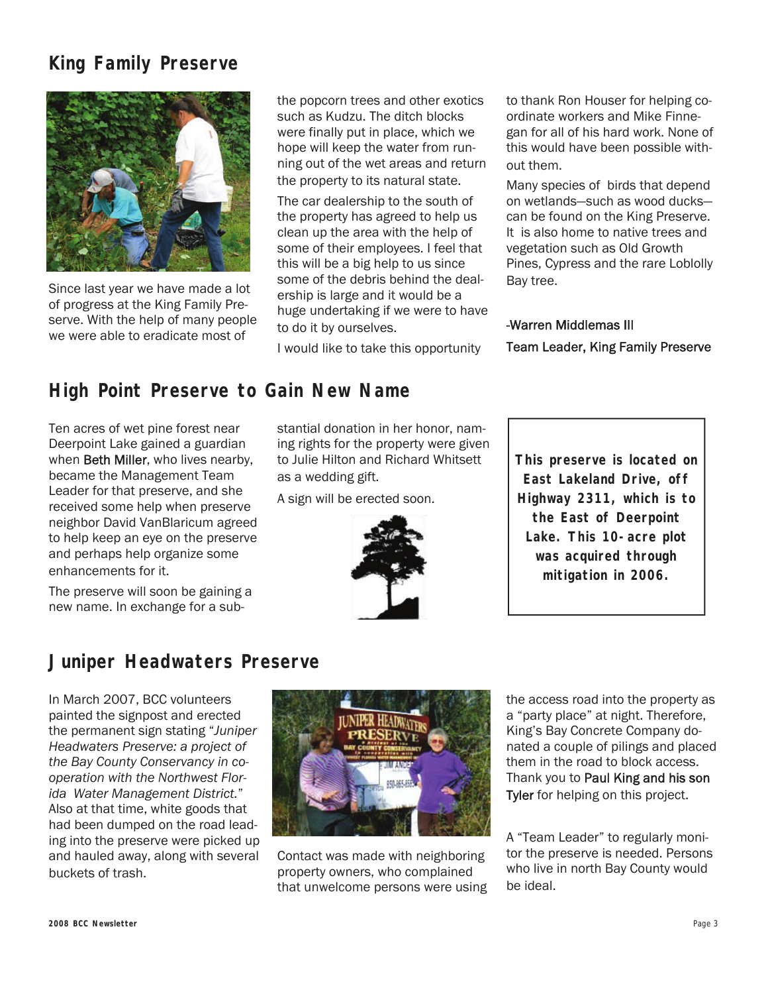## **King Family Preserve**



Since last year we have made a lot of progress at the King Family Preserve. With the help of many people we were able to eradicate most of

the popcorn trees and other exotics such as Kudzu. The ditch blocks were finally put in place, which we hope will keep the water from running out of the wet areas and return the property to its natural state.

The car dealership to the south of the property has agreed to help us clean up the area with the help of some of their employees. I feel that this will be a big help to us since some of the debris behind the dealership is large and it would be a huge undertaking if we were to have to do it by ourselves.

I would like to take this opportunity

to thank Ron Houser for helping coordinate workers and Mike Finnegan for all of his hard work. None of this would have been possible without them.

Many species of birds that depend on wetlands—such as wood ducks can be found on the King Preserve. It is also home to native trees and vegetation such as Old Growth Pines, Cypress and the rare Loblolly Bay tree.

#### -Warren Middlemas III Team Leader, King Family Preserve

#### **High Point Preserve to Gain New Name**

Ten acres of wet pine forest near Deerpoint Lake gained a guardian when **Beth Miller**, who lives nearby, became the Management Team Leader for that preserve, and she received some help when preserve neighbor David VanBlaricum agreed to help keep an eye on the preserve and perhaps help organize some enhancements for it.

The preserve will soon be gaining a new name. In exchange for a substantial donation in her honor, naming rights for the property were given to Julie Hilton and Richard Whitsett as a wedding gift.

A sign will be erected soon.



**This preserve is located on East Lakeland Drive, off Highway 2311, which is to the East of Deerpoint Lake. This 10-acre plot was acquired through mitigation in 2006.** 

#### **Juniper Headwaters Preserve**

In March 2007, BCC volunteers painted the signpost and erected the permanent sign stating "*Juniper Headwaters Preserve: a project of the Bay County Conservancy in cooperation with the Northwest Florida Water Management District.*" Also at that time, white goods that had been dumped on the road leading into the preserve were picked up and hauled away, along with several buckets of trash.



Contact was made with neighboring property owners, who complained that unwelcome persons were using the access road into the property as a "party place" at night. Therefore, King's Bay Concrete Company donated a couple of pilings and placed them in the road to block access. Thank you to Paul King and his son Tyler for helping on this project.

A "Team Leader" to regularly monitor the preserve is needed. Persons who live in north Bay County would be ideal.